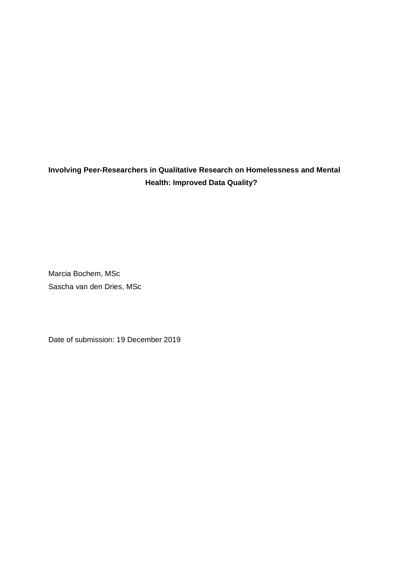## **Involving Peer-Researchers in Qualitative Research on Homelessness and Mental Health: Improved Data Quality?**

Marcia Bochem, MSc Sascha van den Dries, MSc

Date of submission: 19 December 2019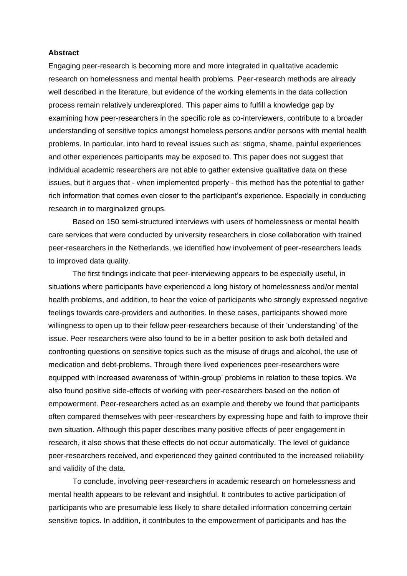## **Abstract**

Engaging peer-research is becoming more and more integrated in qualitative academic research on homelessness and mental health problems. Peer-research methods are already well described in the literature, but evidence of the working elements in the data collection process remain relatively underexplored. This paper aims to fulfill a knowledge gap by examining how peer-researchers in the specific role as co-interviewers, contribute to a broader understanding of sensitive topics amongst homeless persons and/or persons with mental health problems. In particular, into hard to reveal issues such as: stigma, shame, painful experiences and other experiences participants may be exposed to. This paper does not suggest that individual academic researchers are not able to gather extensive qualitative data on these issues, but it argues that - when implemented properly - this method has the potential to gather rich information that comes even closer to the participant's experience. Especially in conducting research in to marginalized groups.

Based on 150 semi-structured interviews with users of homelessness or mental health care services that were conducted by university researchers in close collaboration with trained peer-researchers in the Netherlands, we identified how involvement of peer-researchers leads to improved data quality.

The first findings indicate that peer-interviewing appears to be especially useful, in situations where participants have experienced a long history of homelessness and/or mental health problems, and addition, to hear the voice of participants who strongly expressed negative feelings towards care-providers and authorities. In these cases, participants showed more willingness to open up to their fellow peer-researchers because of their 'understanding' of the issue. Peer researchers were also found to be in a better position to ask both detailed and confronting questions on sensitive topics such as the misuse of drugs and alcohol, the use of medication and debt-problems. Through there lived experiences peer-researchers were equipped with increased awareness of 'within-group' problems in relation to these topics. We also found positive side-effects of working with peer-researchers based on the notion of empowerment. Peer-researchers acted as an example and thereby we found that participants often compared themselves with peer-researchers by expressing hope and faith to improve their own situation. Although this paper describes many positive effects of peer engagement in research, it also shows that these effects do not occur automatically. The level of guidance peer-researchers received, and experienced they gained contributed to the increased reliability and validity of the data.

To conclude, involving peer-researchers in academic research on homelessness and mental health appears to be relevant and insightful. It contributes to active participation of participants who are presumable less likely to share detailed information concerning certain sensitive topics. In addition, it contributes to the empowerment of participants and has the